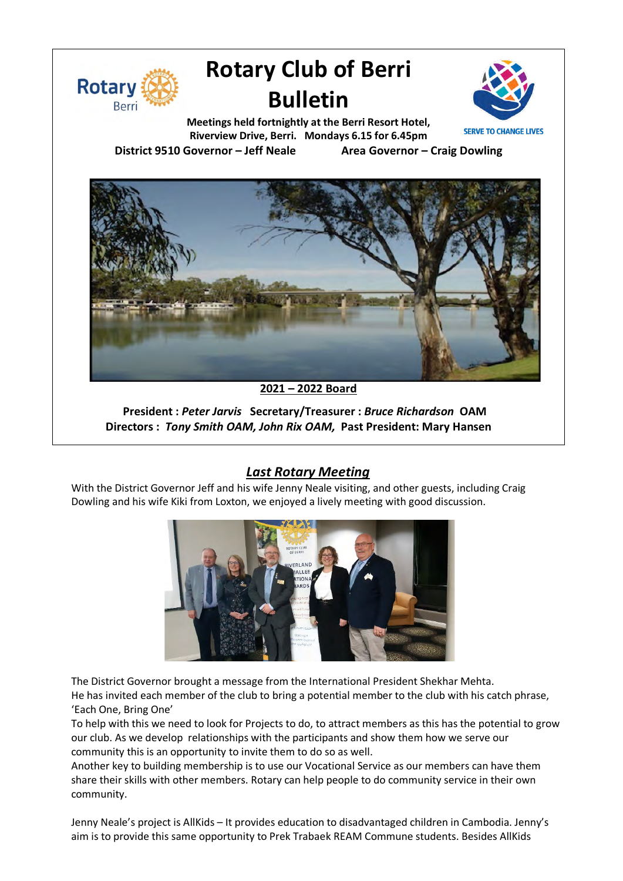

# **Rotary Club of Berri Bulletin**



**Meetings held fortnightly at the Berri Resort Hotel, Riverview Drive, Berri. Mondays 6.15 for 6.45pm District 9510 Governor – Jeff Neale Area Governor – Craig Dowling**



**2021 – 2022 Board**

**President :** *Peter Jarvis* **Secretary/Treasurer :** *Bruce Richardson* **OAM Directors :** *Tony Smith OAM, John Rix OAM,* **Past President: Mary Hansen**

## *Last Rotary Meeting*

With the District Governor Jeff and his wife Jenny Neale visiting, and other guests, including Craig Dowling and his wife Kiki from Loxton, we enjoyed a lively meeting with good discussion.



The District Governor brought a message from the International President Shekhar Mehta.

He has invited each member of the club to bring a potential member to the club with his catch phrase, 'Each One, Bring One'

To help with this we need to look for Projects to do, to attract members as this has the potential to grow our club. As we develop relationships with the participants and show them how we serve our community this is an opportunity to invite them to do so as well.

Another key to building membership is to use our Vocational Service as our members can have them share their skills with other members. Rotary can help people to do community service in their own community.

Jenny Neale's project is AllKids – It provides education to disadvantaged children in Cambodia. Jenny's aim is to provide this same opportunity to Prek Trabaek REAM Commune students. Besides AllKids